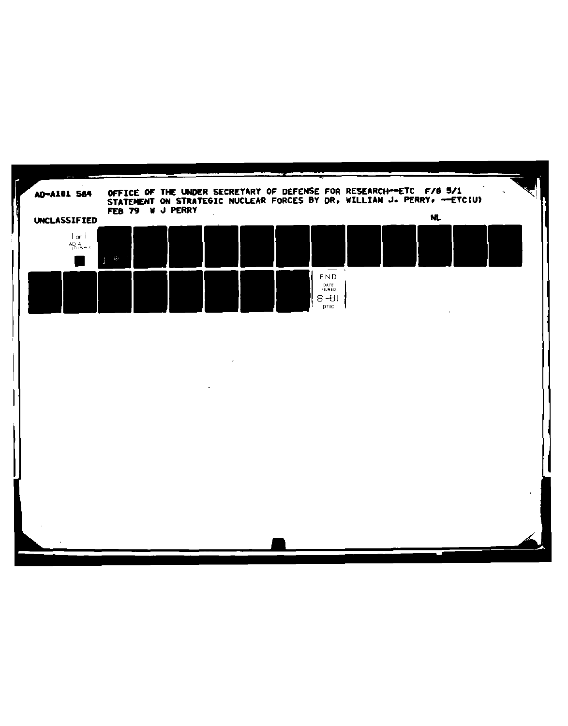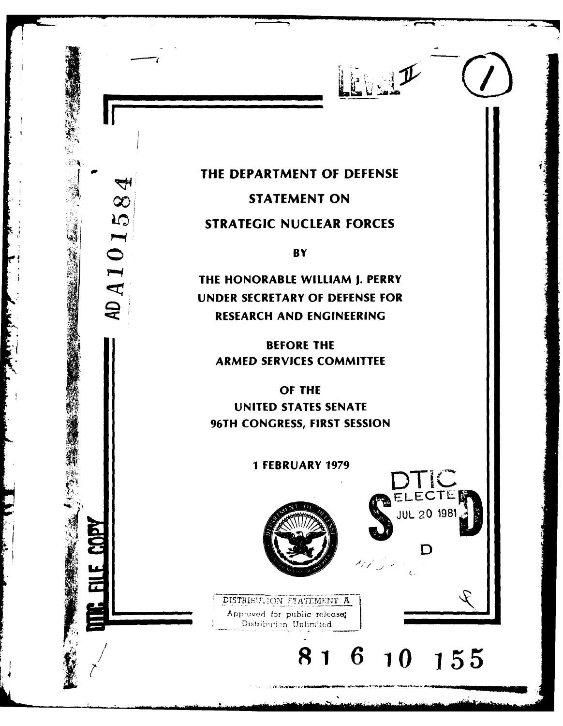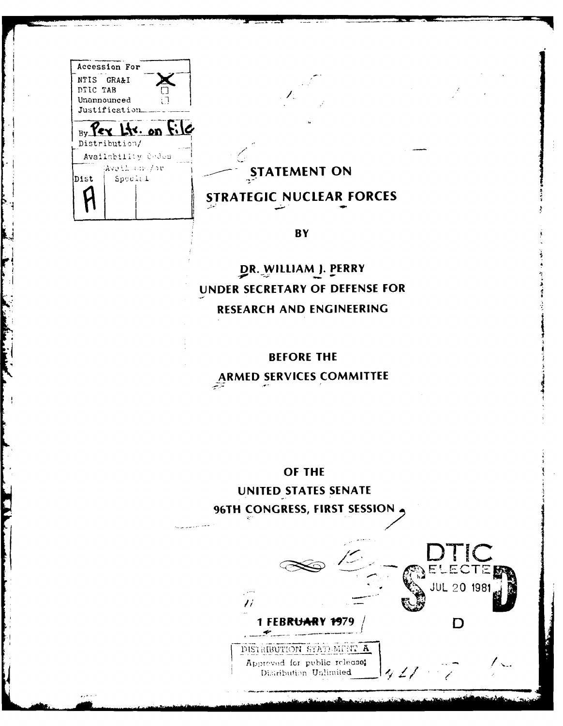|          | Accession For                |                       |               |
|----------|------------------------------|-----------------------|---------------|
|          | NTIS GRA&I                   |                       |               |
| DTIC TAB |                              |                       |               |
|          | Unannounced<br>Justification | įП                    |               |
|          |                              |                       |               |
|          |                              | $By$ Pex Lts. on File |               |
|          | Distribution/                |                       |               |
|          | Availability Codes           |                       |               |
|          | Wweil angor                  |                       |               |
| Dist     | Spocial                      |                       |               |
|          |                              |                       | <b>STRATE</b> |
|          |                              |                       |               |
|          |                              |                       |               |

## $\overline{\text{S}}$ **TATEMENT ON**

## **STRATEGIC NUCLEAR FORCES**

**BY** 

DR. WILLIAM J. PERRY **UNDER** SECRETARY OF **DEFENSE** FOR RESEARCH **AND ENGINEERING**

BEFORE THE ARMED **SERVICES** COMMITTEE

OF THE

**UNITED STATES SENATE**

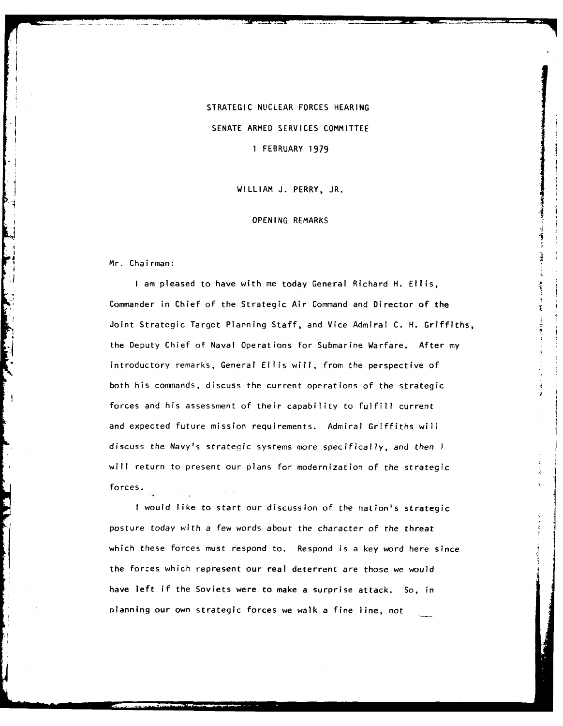STRATEGIC NUCLEAR FORCES HEARING SENATE ARMED SERVICES COMMITTEE **I** FEBRUARY 1979

WILLIAM J. PERRY, JR.

## **OPENING** REMARKS

Mr. Chairman:

I am pleased to have with me today General Richard H. Ellis, Commander in Chief of the Strategic Air Command and Director of the Joint Strategic Target Planning Staff, and Vice Admiral C. H. Griffiths, the Deputy Chief of Naval Operations for Submarine Warfare. After my introductory remarks, General Ellis will, from the perspective of both his commands, discuss the current operations of the strategic forces and his assessment of their capability to fulfill current and expected future mission requirements. Admiral Griffiths will discuss the Navy's strategic systems more specifically, and then I will return to present our plans for modernization of the strategic forces.

I would like to start our discussion of the nation's strategic posture today with a few words about the character of the threat which these forces must respond to. Respond is a key word here since the forces which represent our real deterrent are those we would have left if the Soviets were to make a surprise attack. So, in planning our own strategic forces we walk a fine line, not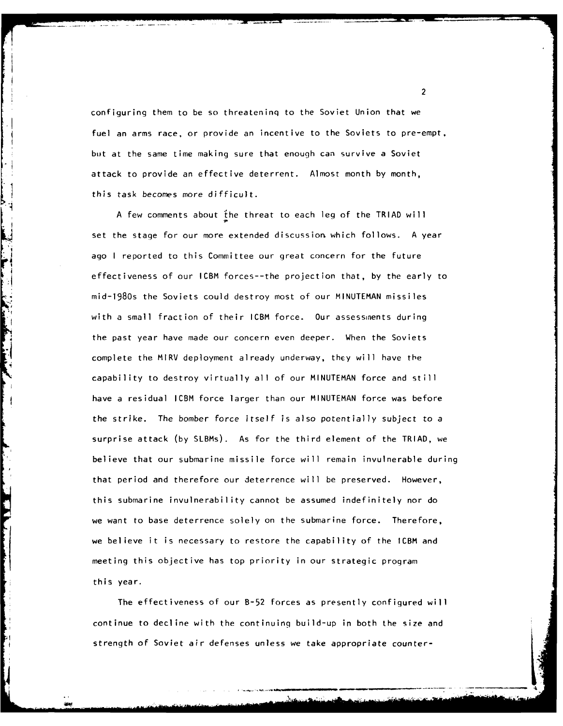configuring them to be so threateninq to the Soviet Union that we fuel an arms race, or provide an incentive to the Soviets to pre-empt, but at the same time making sure that enough can survive a Soviet attack to provide an effective deterrent. Almost month by month, this task becomes more difficult.

A few comments about the threat to each leg of the TRIAD will set the stage for our more extended discussion which follows. A year ago I reported to this Committee our great concern for the future effectiveness of our ICBM forces--the projection that, by the early to mid-1980s the Soviets could destroy most of our MINUTEMAN missiles with a small fraction of their ICBM force. Our assessments during the past year have made our concern even deeper. When the Soviets complete the MIRV deployment already underway, they will have the capability to destroy virtually all of our MINUTEMAN force and still have a residual ICBM force larger than our MINUTEMAN force was before the strike. The bomber force itself is also potentially subject to a surprise attack (by SLBMs). As for the third element of the TRIAD, we believe that our submarine missile force will remain invulnerable during that period and therefore our deterrence will be preserved. However, this submarine invulnerability cannot be assumed indefinitely nor do we want to base deterrence solely on the submarine force. Therefore, we believe it is necessary to restore the capability of the ICBM and meeting this objective has top priority in our strategic program this year.

The effectiveness of our B-52 forces as presently configured will continue to decline with the continuing build-up in both the size and strength of Soviet air defenses unless we take appropriate counter-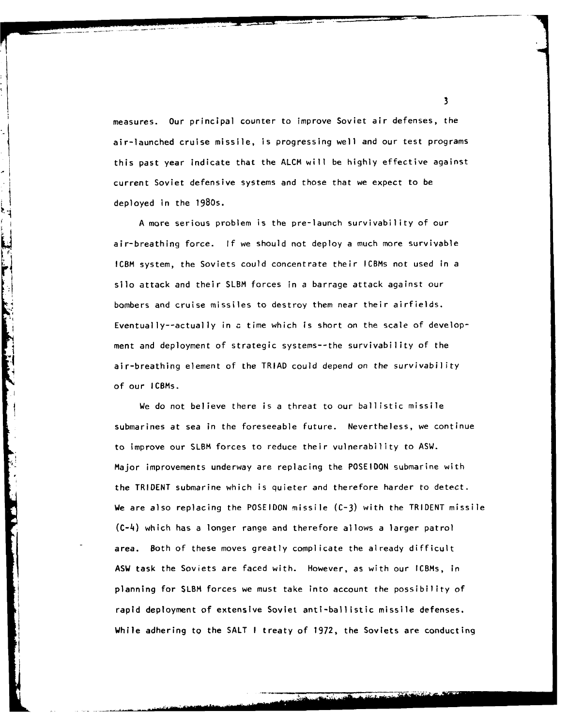measures. Our principal counter to improve Soviet air defenses, the air-launched cruise missile, is progressing well and our test programs this past year indicate that the ALCM will be highly effective against current Soviet defensive systems and those that we expect to be deployed in the 1980s.

A more serious problem is the pre-launch survivability of our air-breathing force. If we should not deploy a much more survivable ICBM system, the Soviets could concentrate their ICBMs not used in a silo attack and their SLBM forces in a barrage attack against our bombers and cruise missiles to destroy them near their airfields. Eventually--actually in **a** time which is short on the scale of development and deployment of strategic systems--the survivability of the air-breathing element of the TRIAD could depend on the survivability of our ICBMs.

**Contract Contract Contract Contract Contract Contract Contract Contract Contract Contract Contract Contract Contract Contract Contract Contract Contract Contract Contract Contract Contract Contract Contract Contract Contr** 

We do not believe there is a threat to our ballistic missile submarines at sea in the foreseeable future. Nevertheless, we continue to improve our SLBM forces to reduce their vulnerability to ASW. Major improvements underway are replacing the POSEIDON submarine with the TRIDENT submarine which is quieter and therefore harder to detect. We are also replacing the POSEIDON missile (C-3) with the TRIDENT missile (C-4) which has a longer range and therefore allows a larger patrol area. Both of these moves greatly complicate the already difficult ASW task the Soviets are faced with. However, as with our ICBMs, in planning for SLBM forces we must take into account the possibility of rapid deployment of extensive Soviet anti-ballistic missile defenses. While adhering to the SALT I treaty of 1972, the Soviets are conducting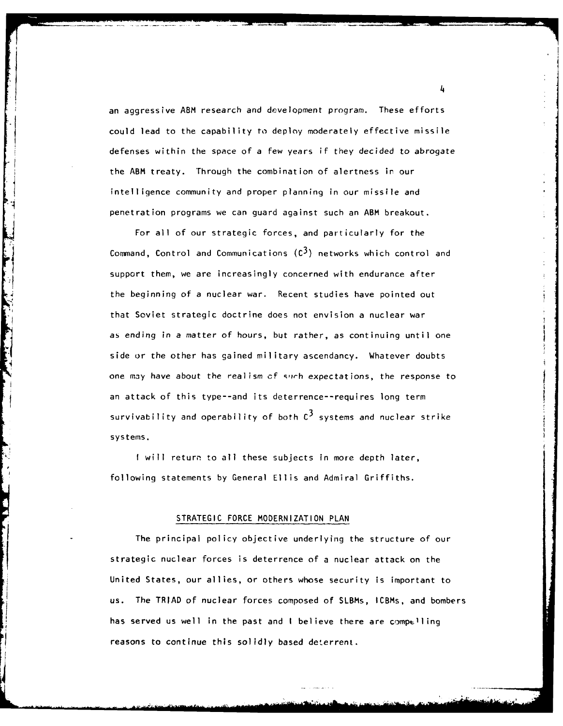an aggressive ABM research and development program. These efforts could lead to the capability to deploy moderately effective missile defenses within the space of a few years if they decided to abrogate the ABM treaty. Through the combination of alertness in our intelligence community and proper planning in our missile and penetration programs we can guard against such an ABM breakout.

For all of our strategic forces, and particularly for the Command, Control and Communications  $(c^3)$  networks which control and support them, we are increasingly concerned with endurance after the beginning of a nuclear war. Recent studies have pointed out that Soviet strategic doctrine does not envision a nuclear war as ending in a matter of hours, but rather, as continuing until one side or the other has gained military ascendancy. Whatever doubts one **may** have about the realism cf qprh expectations, the response to an attack of this type--and its deterrence--requires long term survivability and operability of both **C3** systems and nuclear strike systems.

**I** will return to all these subjects in more depth later, following statements by General Ellis and Admiral Griffiths.

## STRATEGIC FORCE MODERNIZATION PLAN

The principal policy objective underlying the structure of our strategic nuclear forces is deterrence of a nuclear attack on the United States, our allies, or others whose security is important to us. The TRIAD of nuclear forces composed of SLBMs, ICBMs, and bombers has served us well in the past and I believe there are compelling reasons to continue this solidly based deterrent.

'4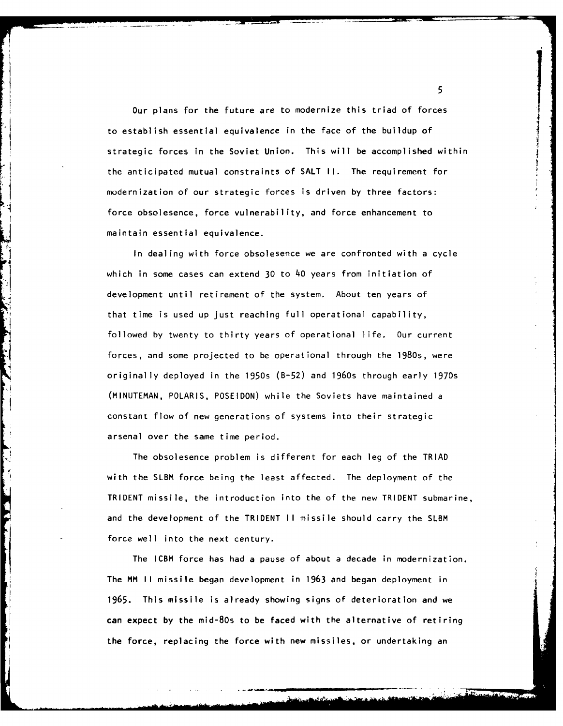Our **plans** for **the future are to modernize this triad of forces** to establish established in the face of the face of the building of the building of the building of the building of the building of the building of the building of the building of the building of the building of the buildi to establish essential equivalence in the face of the buildup of strategic forces in the Soviet Union. This will be accomplished within the anticipated mutual constraints of **SALT II.** The requirement for modernization of our strategic forces is driven **by** three factors: force obsolesence, force vulnerability, and force enhancement to maintain essential equivalence.

In dealing with force obsolesence we are confronted with a cycle which in some cases can extend **30** to 40 years from initiation of development until retirement of the system. About ten years of that time is used up just reaching full operational capability, followed by twenty to thirty years of operational life. Our current forces, and some projected to be operational through the 1980s, were originally deployed in the 1950s (B-52) and 1960s through early 1970s (MINUTEMAN, POLARIS, POSEIDON) while the Soviets have maintained a constant flow of new generations of systems into their strategic arsenal over the same time period.

The obsolesence problem is different for each leg of the TRIAD with the SLBM force being the least affected. The deployment of the TRIDENT missile, the introduction into the of the new TRIDENT submarine, and the development of the TRIDENT **II** missile should carry the SLBM force well into the next century.

The ICBM force has had a pause of about a decade in modernization. The MM II missile began development in 1963 and began deployment in 1965. This missile is already showing signs of deterioration and we can expect by the mid-80s to be faced with the alternative of retiring the force, replacing the force with new missiles, or undertaking an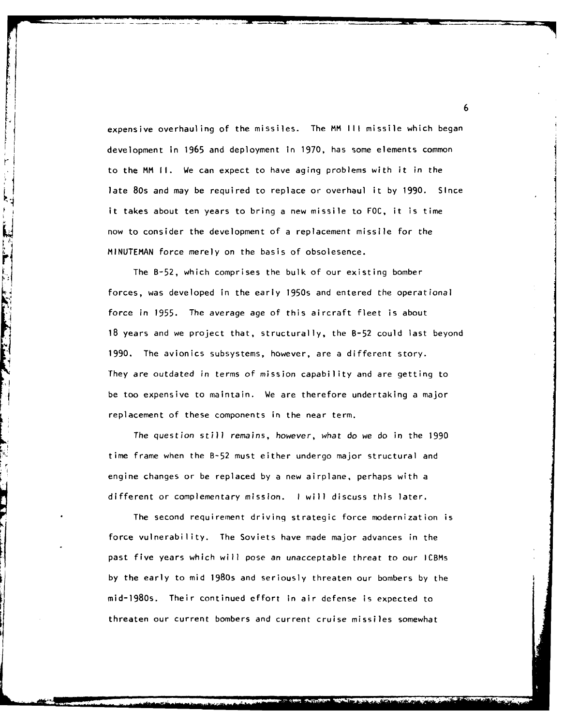expensive overhauling of the missiles. The MM **III** missile which began development in 1965 and deployment in 1970, has some elements common to the MM **If.** We can expect to have aging problems with it in the late 80s and may be required to replace or overhaul it by 1990. Since it takes about ten years to bring a new missile to FOC, it is time now to consider the development of a replacement missile for the MINUTEMAN force merely on the basis of obsolesence.

The B-52, which comprises the bulk of our existing bomber forces, was developed in the early 1950s and entered the operational force in 1955. The average age of this aircraft fleet is about 18 years and we project that, structurally, the B-52 could last beyond 1990. The avionics subsystems, however, are a different story. They are outdated in terms of mission capability and are getting to be too expensive to maintain. We are therefore undertaking a major replacement of these components in the near term.

**Communication of the Communication of the Communication of the Communication of the Communication of the Communication of the Communication of the Communication of the Communication of the Communication of the Communicati** 

The question still remains, however, what do we do in the 1990 time frame when the B-52 must either undergo major structural and engine changes or be replaced by a new airplane, perhaps with a different or complementary mission. I will discuss this later.

The second requirement driving strategic force modernization is force vulnerability. The Soviets have made major advances in the past five years which will pose an unacceptable threat to our ICBMs by the early to mid 1980s and seriously threaten our bombers by the mid-1980s. Their continued effort in air defense is expected to threaten our current bombers and current cruise missiles somewhat

 $\blacksquare$  **6**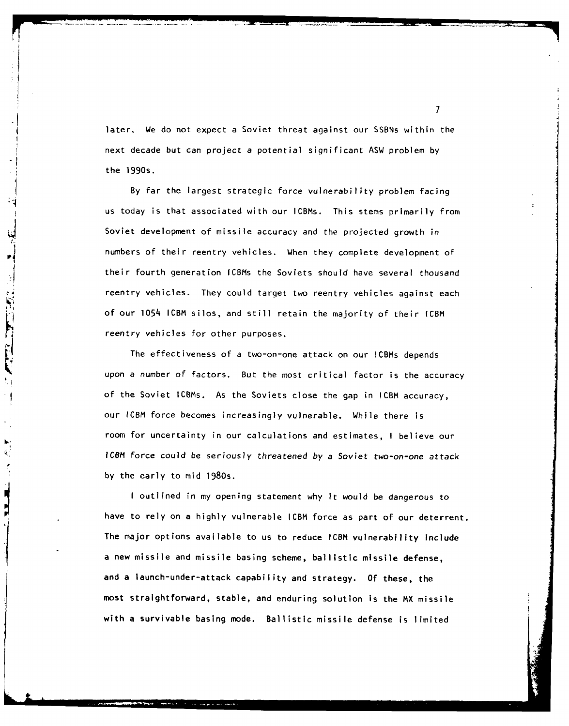later. We do not expect a Soviet threat against our SSBNs within the next decade but can project a potential significant ASW problem **by** the 1990s.

**By** far the largest strategic force vulnerability problem facing us today is that associated with our ICBMs. This stems primarily from Soviet development of missile accuracy and the projected growth in numbers of their reentry vehicles. When they complete development of  $\frac{1}{2}$  their fourth generation ICBMs the Soviets should have several thousand reentry vehicles. They could target two reentry vehicles against each of our 1054 ICBM silos, and still retain the majority of their ICBM reentry vehicles for other purposes.

THE THEFT

The effectiveness of a two-on-one attack on our ICBMs depends upon a number of factors. But the most critical factor is the accuracy of the Soviet ICBMs. As the Soviets close the gap in ICBM accuracy, our ICBM force becomes increasingly vulnerable. While there is room for uncertainty in our calculations and estimates, I believe our ICBM force could be seriously threatened by a Soviet two-on-one attack **by** the early to mid 1980s.

**I** outlined in my opening statement why it would be dangerous to have to rely on a **highly** vulnerable ICBM force as part of our deterrent. The major options available to us to reduce **ICBM** vulnerability include a new missile and missile basing scheme, ballistic missile defense, and a launch-under-attack capability and strategy. **Of** these, the most straightforward, stable, and enduring solution is the MX missile with a survivable basing mode. Ballistic missile defense is limited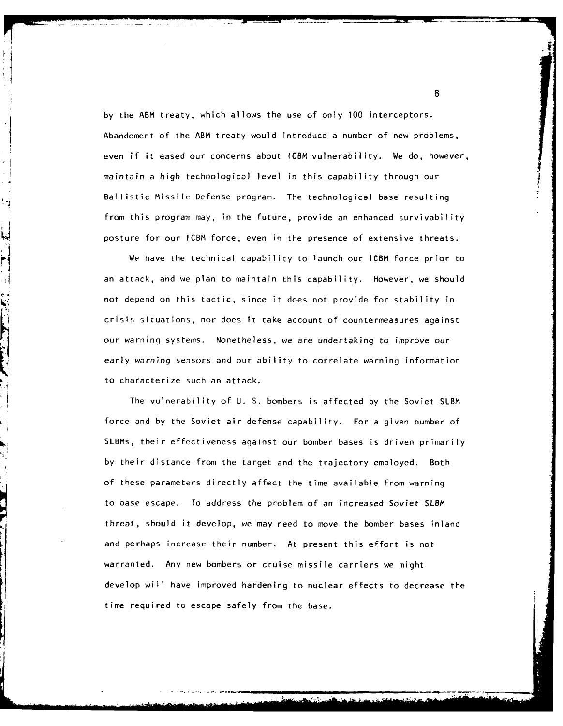by the ABM treaty, which allows the use of only 100 interceptors. Abandoment of the ABM treaty would introduce a number of new problems, even if it eased our concerns about ICBM vulnerability. We do, however, maintain a high technological level in this capability through our Ballistic Missile Defense program. The technological base resulting from this program may, in the future, provide an enhanced survivability posture for our ICBM force, even in the presence of extensive threats.

Ļ,

 $\frac{1}{2}$ 

We have the technical capability to launch our ICBM force prior to an attack, and we plan to maintain this capability. However, we should not depend on this tactic, since it does not provide for stability in crisis situations, nor does it take account of countermeasures against our warning systems. Nonetheless, we are undertaking to improve our early warning sensors and our ability to correlate warning information to characterize such an attack.

The vulnerability of U. S. bombers is affected by the Soviet SLBM force and by the Soviet air defense capability. For a given number of SLBMs, their effectiveness against our bomber bases is driven primarily by their distance from the target and the trajectory employed. Both of these parameters directly affect the time available from warning to base escape. To address the problem of an increased Soviet SLBM threat, should it develop, we may need to move the bomber bases inland and perhaps increase their number. At present this effort is not warranted. Any new bombers or cruise missile carriers we might develop will have improved hardening to nuclear effects to decrease the time required to escape safely from the base.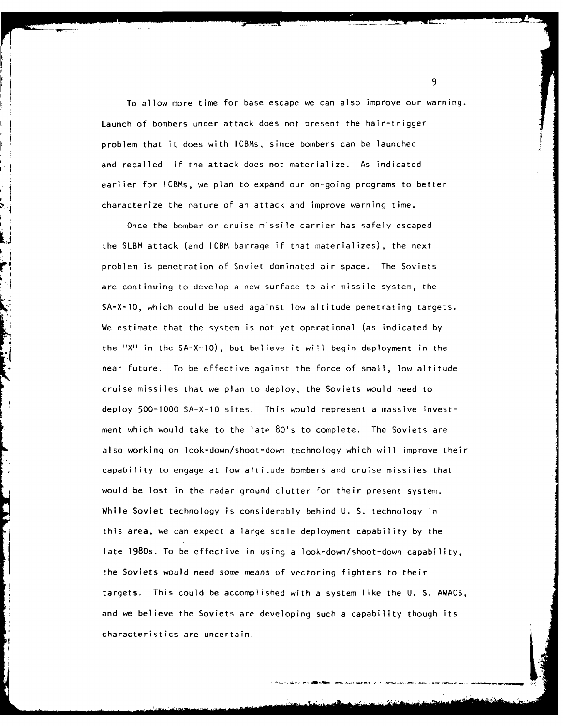To allow more time for base escape we can also improve our warning. Launch of bombers under attack does not present the hair-trigger problem that it does with ICBMs, since bombers can be launched and recalled if the attack does not materialize. As indicated earlier for ICBMs, we plan to expand our on-going programs to better **>\_** -characterize the nature of an attack and improve warning time.

Once the bomber or cruise missile carrier has safely escaped the SLBM attack (and ICBM barrage if that materializes), the next problem is penetration of Soviet dominated air space. The Soviets are continuing to develop a new surface to air missile system, the SA-X-IO, which could be used against low altitude penetrating targets. We estimate that the system is not yet operational (as indicated by the ''X in the SA-X-IO), but believe it will begin deployment in the near future. To be effective against the force of small, low altitude cruise missiles that we plan to deploy, the Soviets would need to deploy 500-1000 SA-X-IO sites. This would represent a massive investment which would take to the late 80's to complete. The Soviets are also working on look-down/shoot-down technology which will improve their capability to engage at low altitude bombers and cruise missiles that would be lost in the radar ground clutter for their present system. While Soviet technology is considerably behind U. S. technology in this area, we can expect a large scale deployment capability by the late 1980s. To be effective in using a look-down/shoot-down capability, the Soviets would need some means of vectoring fighters to their targets. This could be accomplished with a system like the U. S. AWACS, and we believe the Soviets are developing such a capability though its characteristics are uncertain.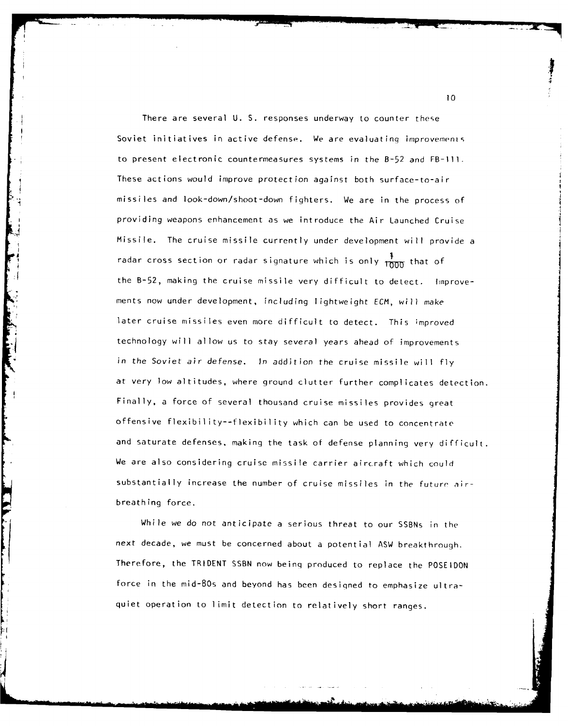There are several U. S. responses underway to counter these Soviet initiatives in active defense. We are evaluating improvements to present electronic countermeasures systems in the B-52 and FB-ill. These actions would improve protection against both surface-to-air missiles and look-down/shoot-down fighters. We are in the process of providing weapons enhancement as we introduce the Air Launched Cruise Missile. The cruise missile currently under development will provide a radar cross section or radar signature which is only  $\frac{1}{1000}$  that of the B-52, making the cruise missile very difficult to detect. Improvements now under development, including lightweight ECM, will make later cruise missiles even more difficult to detect. This improved technology will allow us to stay several years ahead of improvements in the Soviet air defense. In addition the cruise missile will fly at very low altitudes, where ground clutter further complicates detection. Finally, a force of several thousand cruise missiles provides great offensive flexibility--flexibility which can be used to concentrate and saturate defenses, making the task of defense planning very difficult. We are also considering cruise missile carrier aircraft which could substantially increase the number of cruise missiles in the future airbreathing force.

While we do not anticipate a serious threat to our SSBNs in the next decade, we must be concerned about a potential ASW breakthrough. Therefore, the TRIDENT SSBN now beinq produced to replace the POSEIDON force in the mid-80s and beyond has been designed to emphasize ultraquiet operation to limit detection to relatively short ranges.

**10**

------------------------------------------------------ ' '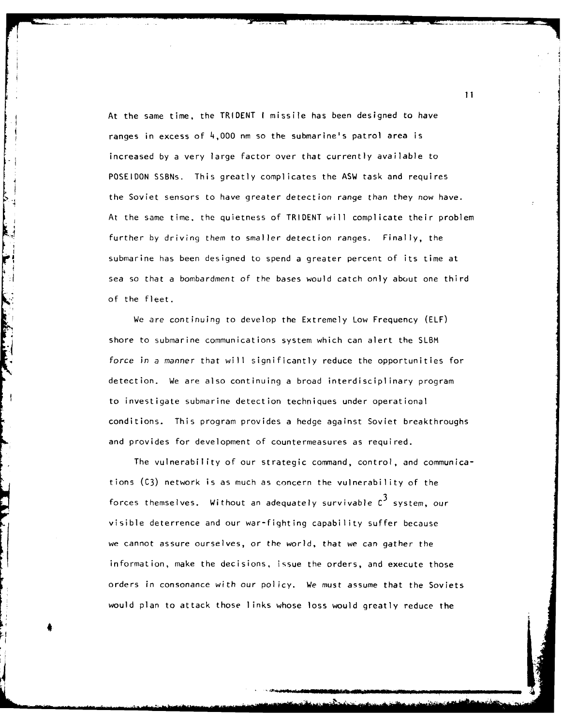At the same time, the TRIDENT I missile has been designed to have ranges in excess of 4,000 nm so the submarine's patrol area is increased by a very large factor over that currently available to POSEIDON SSBNs. This greatly complicates the ASW task and requires the Soviet sensors to have greater detection range than they now have. At the same time, the quietness of TRIDENT will complicate their problem further by driving them to smaller detection ranges. Finally, the submarine has been designed to spend a greater percent of its time at sea so that a bombardment of the bases would catch only about one third of the fleet.

We are continuing to develop the Extremely Low Frequency (ELF) shore to submarine communications system which can alert the SLBM force in a manner that will significantly reduce the opportunities for detection. We are also continuing a broad interdisciplinary program to investigate submarine detection techniques under operational conditions. This program provides a hedge against Soviet breakthroughs and provides for development of countermeasures as required.

The vulnerability of our strategic command, control, and communications (C3) network is as much as concern the vulnerability of the forces themselves. Without an adequately survivable **C3** system, our visible deterrence and our war-fighting capability suffer because we cannot assure ourselves, or the world, that we can gather the information, make the decisions, issue the orders, and execute those orders in consonance with our policy. We must assume that the Soviets would plan to attack those links whose loss would greatly reduce the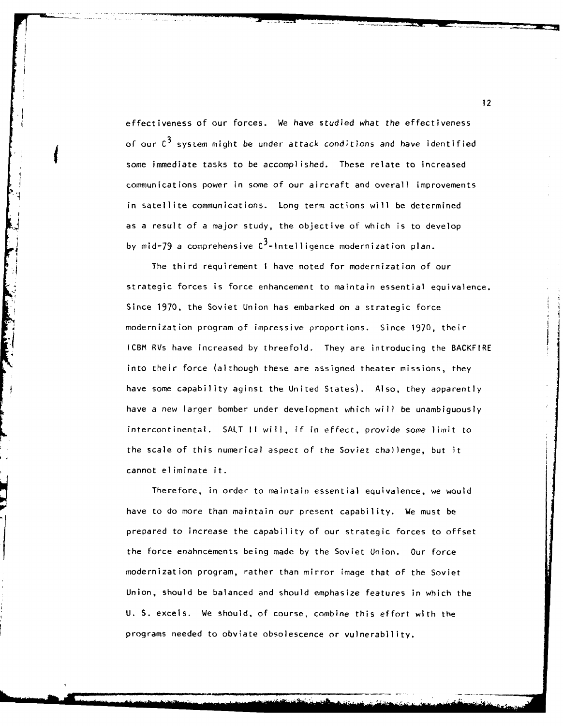effectiveness of our forces. We have studied what the effectiveness of our **C3** system might be under attack conditions and have identified some immediate tasks to be accomplished. These relate to increased communications power in some of our aircraft and overall improvements in satellite communications. Long term actions will be determined as a result of a major study, the objective of which is to develop by mid-79 a comprehensive  $C^3$ -Intelligence modernization plan.

The third requirement I have noted for modernization of our strategic forces is force enhancement to maintain essential equivalence. Since 1970, the Soviet Union has embarked on a strategic force modernization program of impressive proportions. Since 1970, their ICBM RVs have increased by threefold. They are introducing the BACKFIRE into their force (although these are assigned theater missions, they have some capability aginst the United States). Also, they apparently have a new larger bomber under development which will be unambiguously intercontinental. SALT II will, if in effect, provide some limit to the scale of this numerical aspect of the Soviet challenge, but it cannot eliminate it.

Therefore, in order to maintain essential equivalence, we would have to do more than maintain our present capability. We must be prepared to increase the capability of our strategic forces to offset the force enahncements being made by the Soviet Union. Our force modernization program, rather than mirror image that of the Soviet Union, should be balanced and should emphasize features in which the U. S. excels. We should, of course, combine this effort with the programs needed to obviate obsolescence or vulnerability.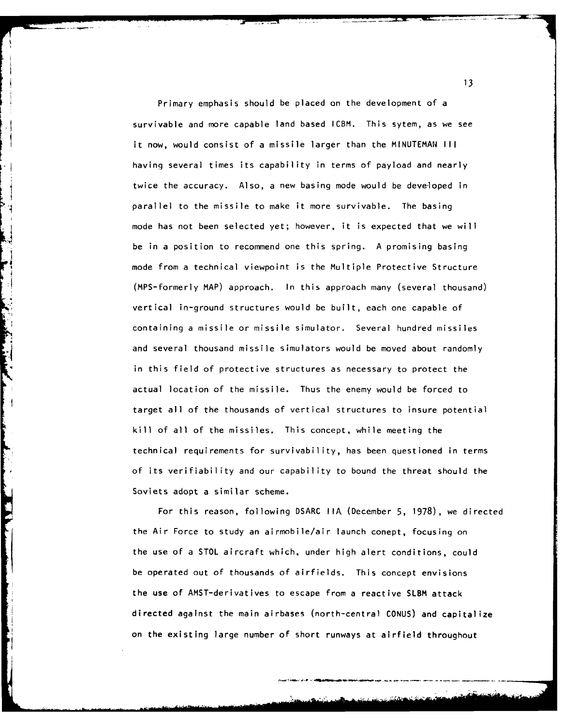Primary emphasis should be placed on the development of a survivable and more capable land based ICBM. This sytem, as we see it now, would consist of a missile larger than the MINUTEMAN III having several times its capability in terms of payload and nearly twice the accuracy. Also, a new basing mode would be developed in parallel to the missile to make it more survivable. The basing mode has not been selected yet; however, it is expected that we will be in a position to recommend one this spring. A promising basing mode from a technical viewpoint is the Multiple Protective Structure (MPS-formerly MAP) approach. In this approach many (several thousand) vertical in-ground structures would be built, each one capable of containing a missile or missile simulator. Several hundred missiles and several thousand missile simulators would be moved about randomly in this field of protective structures as necessary to protect the actual location of the missile. Thus the enemy would be forced to target all of the thousands of vertical structures to insure potential kill of all of the missiles. This concept, while meeting the technical requirements for survivability, has been questioned in terms of its verifiability and our capability to bound the threat should the Soviets adopt a similar scheme.

 $\left\lceil \cdot \right\rceil$ 

For this reason, following DSARC **IIA** (December 5, 1978), we directed the Air Force to study an airmobile/air launch conept, focusing on the use of a STOL aircraft which, under high alert conditions, could be operated out of thousands of airfields. This concept envisions the use of AMST-derivatives to escape from a reactive SLBM attack directed against the main airbases (north-central CONUS) and capitalize on the existing large number of short runways at airfield throughout

**13**

\*\* \* \_\_ .+. **\_\_\_\_.\_** I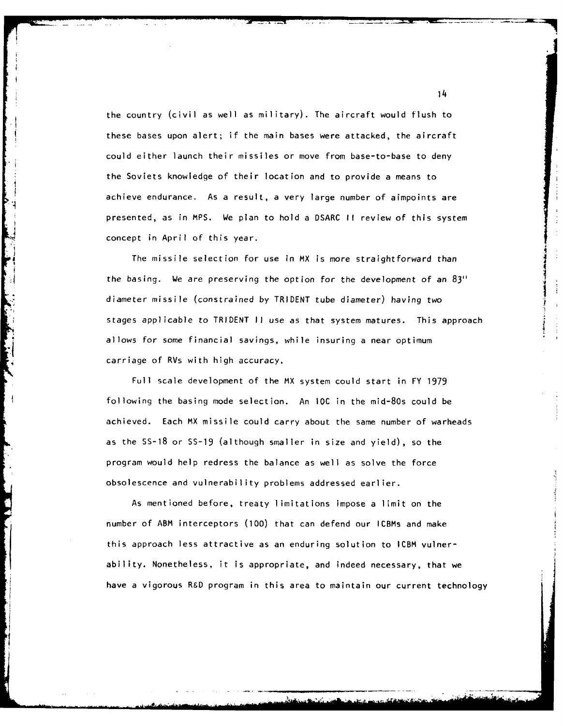the country (civil as well as military). The aircraft would flush to these bases upon alert; if the main bases were attacked, the aircraft could either launch their missiles or move from base-to-base to deny the Soviets knowledge of their location and to provide a means to achieve endurance. As a result, a very large number of aimpoints are presented, as in MPS. We plan to hold a DSARC II review of this system concept in April of this year.

The missile selection for use in MX is more straightforward than the basing. We are preserving the option for the development of an 83" diameter missile (constrained by TRIDENT tube diameter) having two stages applicable to TRIDENT II use as that system matures. This approach allows for some financial savings, while insuring a near optimum carriage of RVs with high accuracy.

Full scale development of the MX system could start in FY 1979 following the basing mode selection. An **IOC** in the mid-80s could be achieved. Each MX missile could carry about the same number of warheads as the **SS-18** or SS-19 (although smaller in size and yield), so the program would help redress the balance as well as solve the force obsolescence and vulnerability problems addressed earlier.

As mentioned before, treaty limitations impose a limit on the number of ABM interceptors (100) that can defend our ICBMs and make this approach less attractive as an enduring solution to ICBM vulnerability. Nonetheless, it is appropriate, and indeed necessary, that we have a vigorous R&D program in this area to maintain our current technology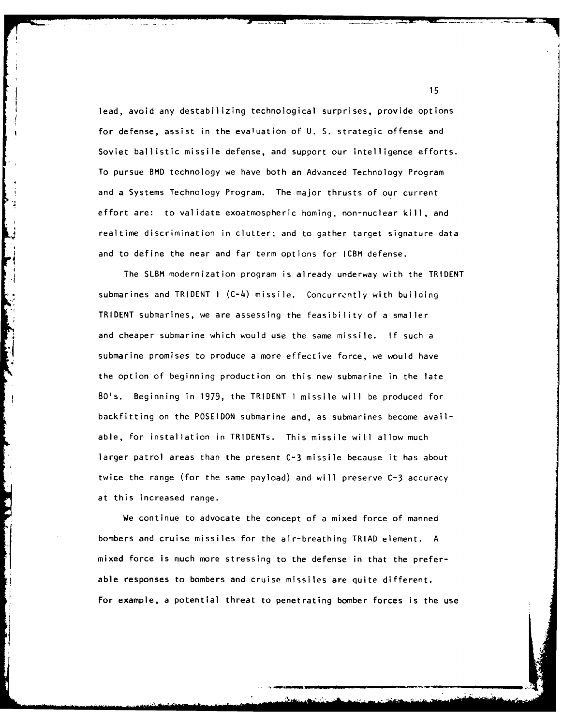lead, avoid any destabilizing technological surprises, provide options for defense, assist in the evaluation of U. S. strategic offense and Soviet ballistic missile defense, and support our intelligence efforts. To pursue BMD technology we have both an Advanced Technology Program and a Systems Technology Program. The major thrusts of our current effort are: to validate exoatmospheric homing, non-nuclear kill, and realtime discrimination in clutter; and to gather target signature data and to define the near and far term options for ICBM defense.

The SLBM modernization program is already underway with the TRIDENT submarines and TRIDENT I (C-4) missile. Concurrently with building TRIDENT submarines, we are assessing the feasibility of a smaller and cheaper submarine which would use the same missile. If such a submarine promises to produce a more effective force, we would have the option of beginning production on this new submarine in the late 80's. Beginning in 1979, the TRIDENT I missile will be produced for backfitting on the POSEIDON submarine and, as submarines become available, for installation in TRIDENTs. This missile will allow much larger patrol areas than the present C-3 missile because it has about twice the range (for the same payload) and will preserve C-3 accuracy at this increased range.

We continue to advocate the concept of a mixed force of manned bombers and cruise missiles for the air-breathing TRIAD element. A mixed force is much more stressing to the defense in that the preferable responses to bombers and cruise missiles are quite different. For example, a potential threat to penetrating bomber forces is the use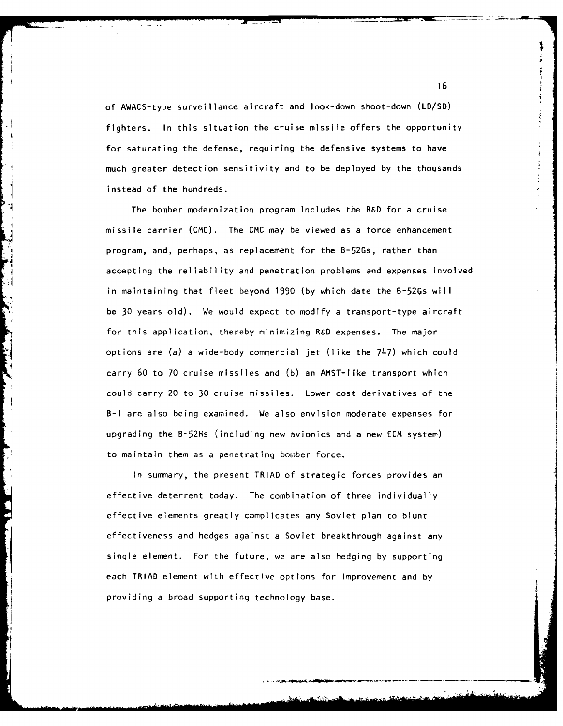of AWACS-type surveillance aircraft and look-down shoot-down **(LD/SD)** fighters. In this situation the cruise missile offers the opportunity for saturating the defense, requiring the defensive systems to have much greater detection sensitivity and to be deployed by the thousands instead of the hundreds.

The bomber modernization program includes the R&D for a cruise missile carrier (CMC). The CMC may be viewed as a force enhancement program, and, perhaps, as replacement for the B-52Gs, rather than accepting the reliability and penetration problems and expenses involved in maintaining that fleet beyond 1990 (by which date the B-52Gs will be 30 years old). We would expect to modify a transport-type aircraft for this application, thereby minimizing R&D expenses. The major options are (a) a wide-body commercial jet (like the 747) which could carry 60 to 70 cruise missiles and (b) an AMST-Iike transport which could carry 20 to 30 cruise missiles. Lower cost derivatives of the B-i are also being examined. We also envision moderate expenses for upgrading the B-52Hs (including new avionics and a new ECM system) to maintain them as a penetrating bomber force.

In summary, the present TRIAD of strategic forces provides an effective deterrent today. The combination of three individually effective elements greatly complicates any Soviet plan to blunt effectiveness and hedges against a Soviet breakthrough against any single element. For the future, we are also hedging by supporting each TRIAD element with effective options for improvement and by providing a broad supportinq technology base.

16

I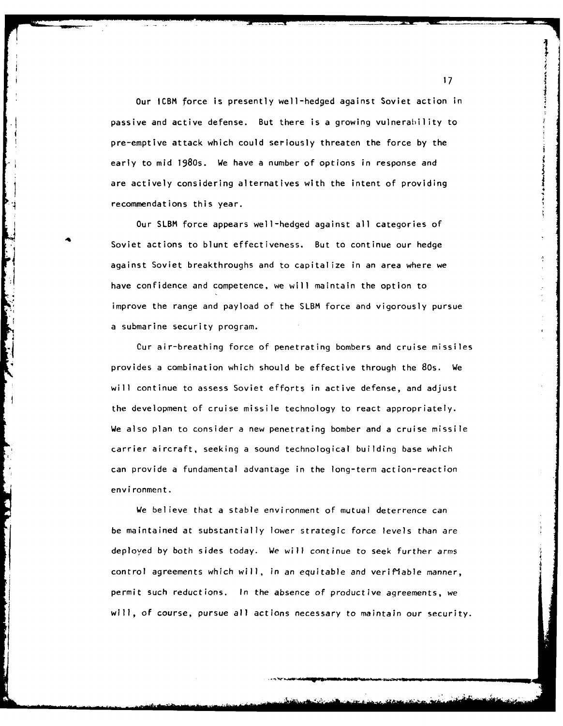Our ICBM force is presently well-hedged against Soviet action in passive and active defense. But there is a growing vulnerability to pre-emptive attack which could seriously threaten the force by the early to mid 1980s. We have a number of options in response and are actively considering alternatives with the intent of providing recommendations this year.

Our SLBM force appears well-hedged against all categories of Soviet actions to blunt effectiveness. But to continue our hedge against Soviet breakthroughs and to capitalize in an area where we have confidence and competence, we will maintain the option to improve the range and payload of the SLBM force and vigorously pursue a submarine security program.

Cur air-breathing force of penetrating bombers and cruise missiles provides a combination which should be effective through the 80s. We will continue to assess Soviet efforts in active defense, and adjust the development of cruise missile technology to react appropriately. We also plan to consider a new penetrating bomber and a cruise missile carrier aircraft, seeking a sound technological building base which can provide a fundamental advantage in the long-term action-reaction environment.

We believe that a stable environment of mutual deterrence can be maintained at substantially lower strategic force levels than are deployed by both sides today. We will continue to seek further arms control agreements which will, in an equitable and verifiable manner, permit such reductions. In the absence of productive agreements, we will, of course, pursue all actions necessary to maintain our security.

**17**